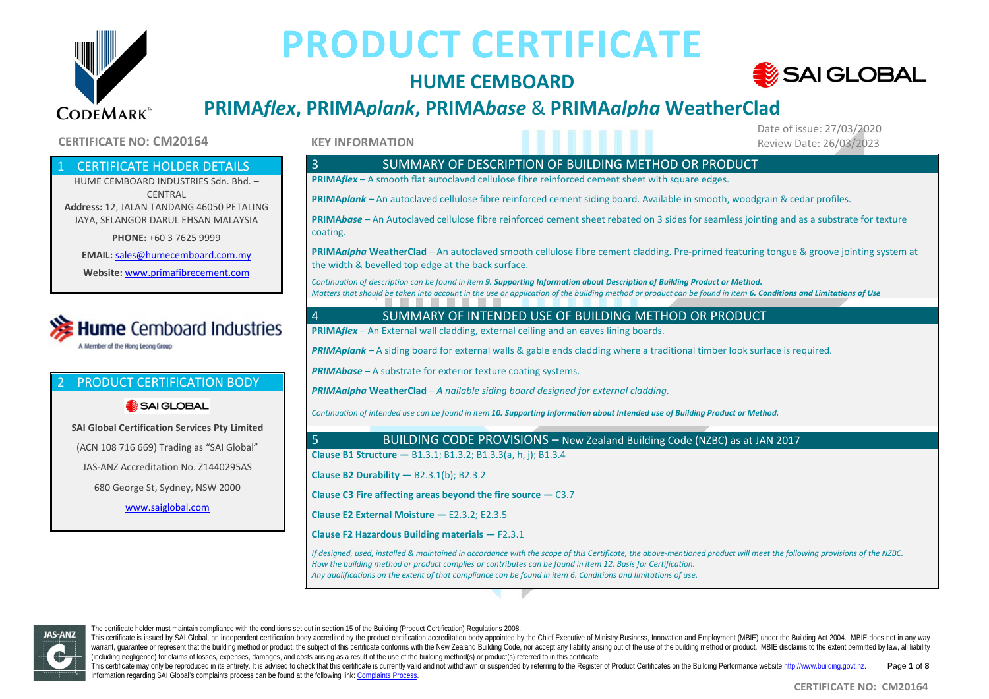

## **HUME CEMBOARD**



Date of issue: 27/03/2020

# **PRIMA***flex***, PRIMA***plank***, PRIMA***base* & **PRIMA***alpha* **WeatherClad**

#### **CERTIFICATE NO: CM20164 Review Date: 26/03/2023 Review Date: 26/03/2023** Review Date: 26/03/2023

**CERTIFICATE HOLDER DETAILS** 

HUME CEMBOARD INDUSTRIES Sdn. Bhd. – **CENTRAL Address:** 12, JALAN TANDANG 46050 PETALING JAYA, SELANGOR DARUL EHSAN MALAYSIA

**PHONE:** +60 3 7625 9999

**EMAIL:** [sales@humecemboard.com.my](mailto:sales@humecemboard.com.my)

**Website:** [www.primafibrecement.com](http://www.primafibrecement.com/)



# 2 PRODUCT CERTIFICATION BODY

#### SAI GLOBAL

**SAI Global Certification Services Pty Limited** (ACN 108 716 669) Trading as "SAI Global" JAS-ANZ Accreditation No. Z1440295AS 680 George St, Sydney, NSW 2000 [www.saiglobal.com](http://www.saiglobal.com/)

**KEY INFORMATION**

### 3 SUMMARY OF DESCRIPTION OF BUILDING METHOD OR PRODUCT **PRIMA***flex* – A smooth flat autoclaved cellulose fibre reinforced cement sheet with square edges. **PRIMA***plank –* An autoclaved cellulose fibre reinforced cement siding board. Available in smooth, woodgrain & cedar profiles. **PRIMA***base* – An Autoclaved cellulose fibre reinforced cement sheet rebated on 3 sides for seamless jointing and as a substrate for texture coating. **PRIMA***alpha* **WeatherClad** – An autoclaved smooth cellulose fibre cement cladding. Pre-primed featuring tongue & groove jointing system at the width & bevelled top edge at the back surface. *Continuation of description can be found in item 9. Supporting Information about Description of Building Product or Method. Matters that should be taken into account in the use or application of the building method or product can be found in item 6. Conditions and Limitations of Use* 4 SUMMARY OF INTENDED USE OF BUILDING METHOD OR PRODUCT **PRIMA***flex* – An External wall cladding, external ceiling and an eaves lining boards. *PRIMAplank* – A siding board for external walls & gable ends cladding where a traditional timber look surface is required. *PRIMAbase* – A substrate for exterior texture coating systems. *PRIMAalpha* **WeatherClad** – *A nailable siding board designed for external cladding. Continuation of intended use can be found in item 10. Supporting Information about Intended use of Building Product or Method.* 5 BUILDING CODE PROVISIONS – New Zealand Building Code (NZBC) as at JAN 2017 **Clause B1 Structure —** B1.3.1; B1.3.2; B1.3.3(a, h, j); B1.3.4 **Clause B2 Durability —** B2.3.1(b); B2.3.2 **Clause C3 Fire affecting areas beyond the fire source —** C3.7 **Clause E2 External Moisture —** E2.3.2; E2.3.5 **Clause F2 Hazardous Building materials —** F2.3.1 *If designed, used, installed & maintained in accordance with the scope of this Certificate, the above-mentioned product will meet the following provisions of the NZBC. How the building method or product complies or contributes can be found in item 12. Basis for Certification. Any qualifications on the extent of that compliance can be found in item 6. Conditions and limitations of use.*

**JAS-ANZ** 

The certificate holder must maintain compliance with the conditions set out in section 15 of the Building (Product Certification) Regulations 2008.

This certificate is issued by SAI Global, an independent certification body accredited by the product certification accreditation body appointed by the Chief Executive of Ministry Business, Innovation and Employment (MBIE) warrant, quarantee or represent that the building method or product, the subject of this certificate conforms with the New Zealand Building Code, nor accept any liability arising out of the use of the building method or pr (including negligence) for claims of losses, expenses, damages, and costs arising as a result of the use of the building method(s) or product(s) referred to in this certificate.

This certificate may only be reproduced in its entirety. It is advised to check that this certificate is currently valid and not withdrawn or suspended by referring to the Register of Product Certificates on the Building P Information regarding SAI Global's complaints process can be found at the following link[: Complaints Process.](https://www.saiglobal.com/en-au/complaints_and_appeals_management/) Page **1** of **8**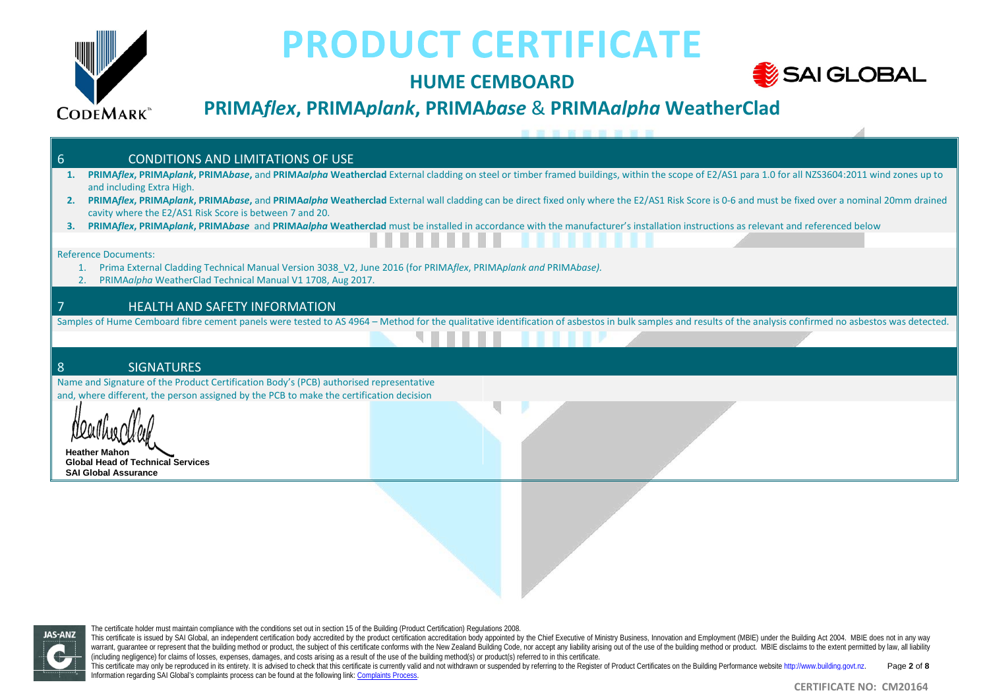

## **HUME CEMBOARD**



# **PRIMA***flex***, PRIMA***plank***, PRIMA***base* & **PRIMA***alpha* **WeatherClad**

| <b>CONDITIONS AND LIMITATIONS OF USE</b><br>6                                                                                                                                                               |
|-------------------------------------------------------------------------------------------------------------------------------------------------------------------------------------------------------------|
| PRIMAflex, PRIMAplank, PRIMAbase, and PRIMAalpha Weatherclad External cladding on steel or timber framed buildings, within the scope of E2/AS1 para 1.0 for all NZS3604:2011 wind zones up to               |
| and including Extra High.                                                                                                                                                                                   |
| PRIMAflex, PRIMAplank, PRIMAbase, and PRIMAalpha Weatherclad External wall cladding can be direct fixed only where the E2/AS1 Risk Score is 0-6 and must be fixed over a nominal 20mm drained<br>2.         |
| cavity where the E2/AS1 Risk Score is between 7 and 20.                                                                                                                                                     |
| PRIMAplank, PRIMAbase and PRIMAalpha Weatherclad must be installed in accordance with the manufacturer's installation instructions as relevant and referenced below<br>з.                                   |
| 11 11 11 11 11 11 11 11 11 11                                                                                                                                                                               |
| <b>Reference Documents:</b>                                                                                                                                                                                 |
| Prima External Cladding Technical Manual Version 3038_V2, June 2016 (for PRIMAflex, PRIMAplank and PRIMAbase).                                                                                              |
| PRIMAalpha WeatherClad Technical Manual V1 1708, Aug 2017.                                                                                                                                                  |
|                                                                                                                                                                                                             |
| <b>HEALTH AND SAFETY INFORMATION</b>                                                                                                                                                                        |
| Samples of Hume Cemboard fibre cement panels were tested to AS 4964 - Method for the qualitative identification of asbestos in bulk samples and results of the analysis confirmed no asbestos was detected. |
|                                                                                                                                                                                                             |
|                                                                                                                                                                                                             |
| 8<br><b>SIGNATURES</b>                                                                                                                                                                                      |
| Name and Signature of the Product Certification Body's (PCB) authorised representative                                                                                                                      |
|                                                                                                                                                                                                             |
| and, where different, the person assigned by the PCB to make the certification decision                                                                                                                     |
|                                                                                                                                                                                                             |
|                                                                                                                                                                                                             |
|                                                                                                                                                                                                             |
| <b>Heather Mahon</b>                                                                                                                                                                                        |
| <b>Global Head of Technical Services</b>                                                                                                                                                                    |
| <b>SAI Global Assurance</b>                                                                                                                                                                                 |



The certificate holder must maintain compliance with the conditions set out in section 15 of the Building (Product Certification) Regulations 2008.

This certificate may only be reproduced in its entirely. It is advised to check that this certificate is currently valid and not withdrawn or suspended by referring to the Register of Product Certificates on the Building P Information regarding SAI Global's complaints process can be found at the following link[: Complaints Process.](https://www.saiglobal.com/en-au/complaints_and_appeals_management/) Page **2** of **8**

This certificate is issued by SAI Global, an independent certification body accredited by the product certification accreditation body appointed by the Chief Executive of Ministry Business, Innovation and Employment (MBIE) warrant, guarantee or represent that the building method or product, the subject of this certificate conforms with the New Zealand Building Code, nor accept any liability arising out of the use of the building method or pr (including negligence) for claims of losses, expenses, damages, and costs arising as a result of the use of the building method(s) or product(s) referred to in this certificate.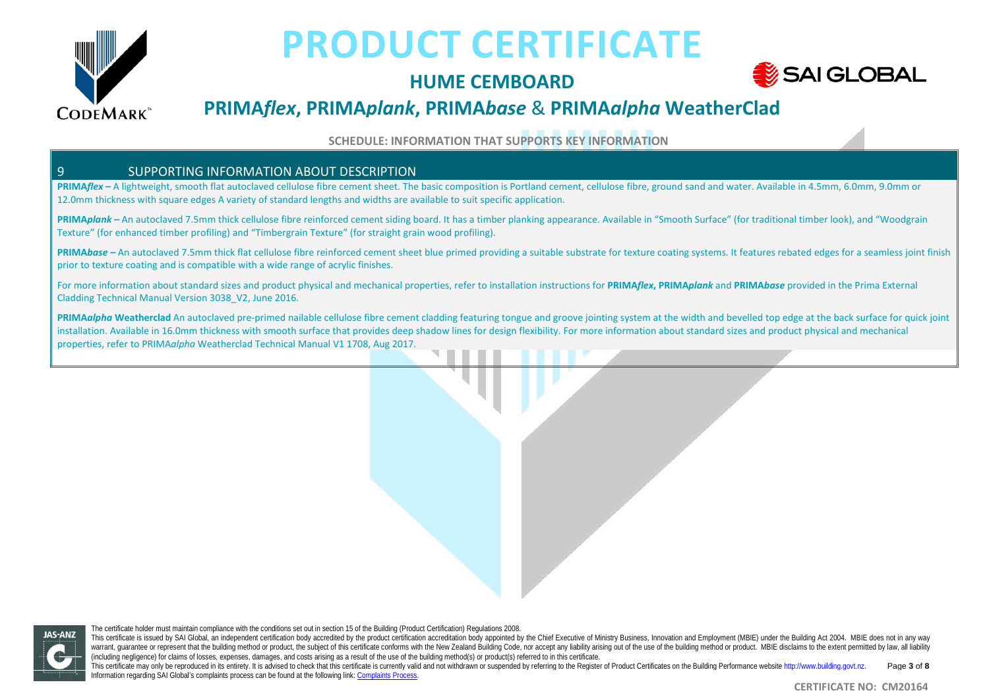

# **HUME CEMBOARD**



# **PRIMA***flex***, PRIMA***plank***, PRIMA***base* & **PRIMA***alpha* **WeatherClad**

**SCHEDULE: INFORMATION THAT SUPPORTS KEY INFORMATION**

#### 9 SUPPORTING INFORMATION ABOUT DESCRIPTION

**PRIMA***flex –* A lightweight, smooth flat autoclaved cellulose fibre cement sheet. The basic composition is Portland cement, cellulose fibre, ground sand and water. Available in 4.5mm, 6.0mm, 9.0mm or 12.0mm thickness with square edges A variety of standard lengths and widths are available to suit specific application.

**PRIMA***plank –* An autoclaved 7.5mm thick cellulose fibre reinforced cement siding board. It has a timber planking appearance. Available in "Smooth Surface" (for traditional timber look), and "Woodgrain Texture" (for enhanced timber profiling) and "Timbergrain Texture" (for straight grain wood profiling).

PRIMAbase - An autoclaved 7.5mm thick flat cellulose fibre reinforced cement sheet blue primed providing a suitable substrate for texture coating systems. It features rebated edges for a seamless joint finish prior to texture coating and is compatible with a wide range of acrylic finishes.

For more information about standard sizes and product physical and mechanical properties, refer to installation instructions for PRIMAflex, PRIMAplank and PRIMAbase provided in the Prima External Cladding Technical Manual Version 3038\_V2, June 2016.

**PRIMA***alpha* **Weatherclad** An autoclaved pre-primed nailable cellulose fibre cement cladding featuring tongue and groove jointing system at the width and bevelled top edge at the back surface for quick joint installation. Available in 16.0mm thickness with smooth surface that provides deep shadow lines for design flexibility. For more information about standard sizes and product physical and mechanical properties, refer to PRIMA*alpha* Weatherclad Technical Manual V1 1708, Aug 2017.

The certificate holder must maintain compliance with the conditions set out in section 15 of the Building (Product Certification) Regulations 2008. **JAS-ANZ** 

This certificate may only be reproduced in its entirety. It is advised to check that this certificate is currently valid and not withdrawn or suspended by referring to the Register of Product Certificates on the Building P Information regarding SAI Global's complaints process can be found at the following link[: Complaints Process.](https://www.saiglobal.com/en-au/complaints_and_appeals_management/) Page **3** of **8**

This certificate is issued by SAI Global, an independent certification body accredited by the product certification accreditation body appointed by the Chief Executive of Ministry Business, Innovation and Employment (MBIE) warrant, quarantee or represent that the building method or product, the subject of this certificate conforms with the New Zealand Building Code, nor accept any liability arising out of the use of the building method or pr (including negligence) for claims of losses, expenses, damages, and costs arising as a result of the use of the building method(s) or product(s) referred to in this certificate.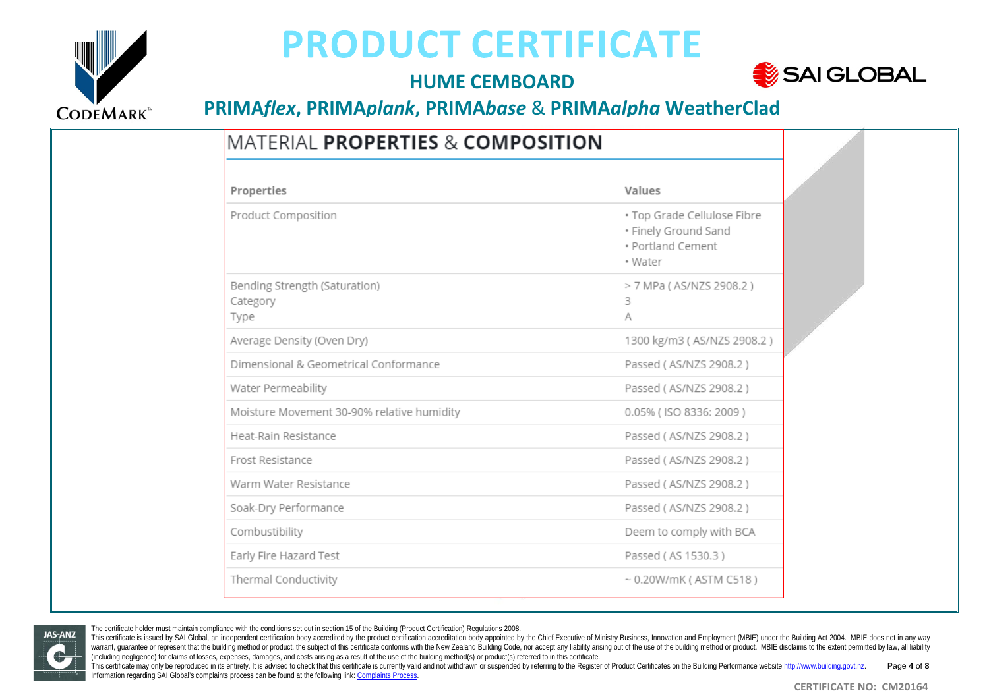

## **HUME CEMBOARD**



# **PRIMA***flex***, PRIMA***plank***, PRIMA***base* & **PRIMA***alpha* **WeatherClad**

# **MATERIAL PROPERTIES & COMPOSITION**

| Properties                                        | Values                                                                              |  |
|---------------------------------------------------|-------------------------------------------------------------------------------------|--|
| Product Composition                               | · Top Grade Cellulose Fibre<br>• Finely Ground Sand<br>· Portland Cement<br>• Water |  |
| Bending Strength (Saturation)<br>Category<br>Type | > 7 MPa (AS/NZS 2908.2)<br>3<br>A                                                   |  |
| Average Density (Oven Dry)                        | 1300 kg/m3 (AS/NZS 2908.2)                                                          |  |
| Dimensional & Geometrical Conformance             | Passed (AS/NZS 2908.2)                                                              |  |
| Water Permeability                                | Passed (AS/NZS 2908.2)                                                              |  |
| Moisture Movement 30-90% relative humidity        | 0.05% (ISO 8336: 2009)                                                              |  |
| Heat-Rain Resistance                              | Passed (AS/NZS 2908.2)                                                              |  |
| Frost Resistance                                  | Passed (AS/NZS 2908.2)                                                              |  |
| Warm Water Resistance                             | Passed (AS/NZS 2908.2)                                                              |  |
| Soak-Dry Performance                              | Passed (AS/NZS 2908.2)                                                              |  |
| Combustibility                                    | Deem to comply with BCA                                                             |  |
| Early Fire Hazard Test                            | Passed (AS 1530.3)                                                                  |  |
| Thermal Conductivity                              | $\sim$ 0.20W/mK (ASTM C518)                                                         |  |

**JAS-ANZ** 

The certificate holder must maintain compliance with the conditions set out in section 15 of the Building (Product Certification) Regulations 2008.

This certificate is issued by SAI Global, an independent certification body accredited by the product certification accreditation body appointed by the Chief Executive of Ministry Business, Innovation and Employment (MBIE) warrant, quarantee or represent that the building method or product, the subject of this certificate conforms with the New Zealand Building Code, nor accept any liability arising out of the use of the building method or pr (including negligence) for claims of losses, expenses, damages, and costs arising as a result of the use of the building method(s) or product(s) referred to in this certificate.

This certificate may only be reproduced in its entirely. It is advised to check that this certificate is currently valid and not withdrawn or suspended by referring to the Register of Product Certificates on the Building P Information regarding SAI Global's complaints process can be found at the following link[: Complaints Process.](https://www.saiglobal.com/en-au/complaints_and_appeals_management/) Page **4** of **8**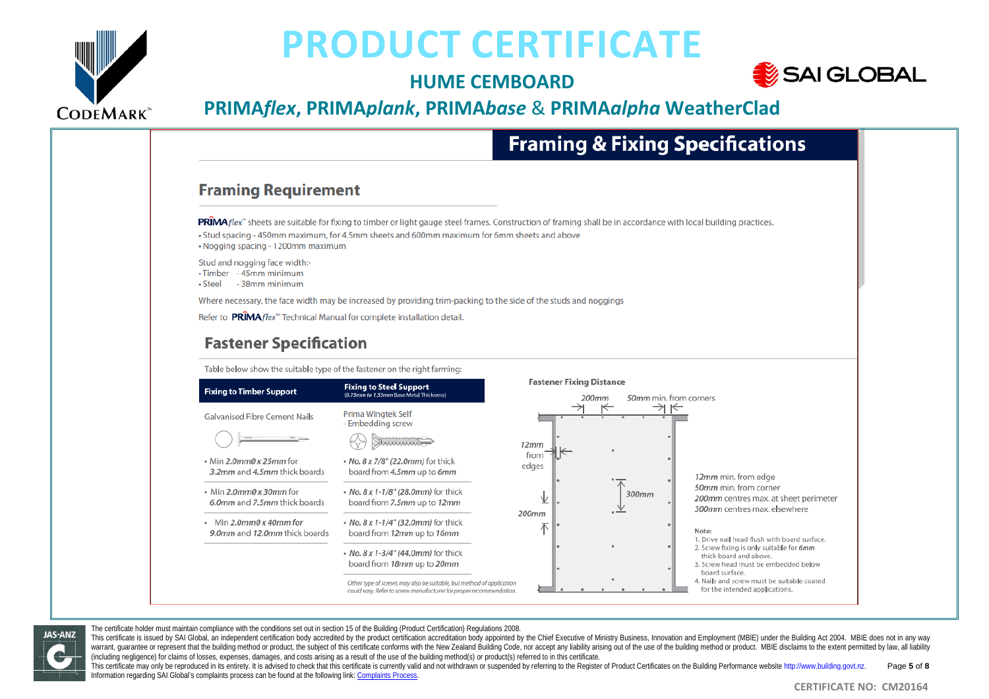

**JAS-ANZ** 

# **PRODUCT CERTIFICATE**

### **HUME CEMBOARD**



# **PRIMA***flex***, PRIMA***plank***, PRIMA***base* & **PRIMA***alpha* **WeatherClad**

# **Framing & Fixing Specifications**

#### **Framing Requirement**

PRIMA flex" sheets are suitable for fixing to timber or light gauge steel frames. Construction of framing shall be in accordance with local building practices. . Stud spacing - 450mm maximum, for 4.5mm sheets and 600mm maximum for 6mm sheets and above • Nogging spacing - 1200mm maximum

Stud and nogging face width: • Timber - 45mm minimum • Steel - 38mm minimum

Where necessary, the face width may be increased by providing trim-packing to the side of the studs and noggings

Refer to PRIMA flex<sup>"</sup> Technical Manual for complete installation detail

#### **Fastener Specification**

Table below show the suitable type of the fastener on the right farming:



The certificate holder must maintain compliance with the conditions set out in section 15 of the Building (Product Certification) Regulations 2008.

This certificate is issued by SAI Global, an independent certification body accredited by the product certification accredited by the product certification accreditation body appointed by the Chief Executive of Ministry Bu warrant, quarantee or represent that the building method or product, the subject of this certificate conforms with the New Zealand Building Code, nor accept any liability arising out of the use of the building method or pr (including negligence) for claims of losses, expenses, damages, and costs arising as a result of the use of the building method(s) or product(s) referred to in this certificate.

This certificate may only be reproduced in its entirety. It is advised to check that this certificate is currently valid and not withdrawn or suspended by referring to the Register of Product Certificates on the Building P Information regarding SAI Global's complaints process can be found at the following link[: Complaints Process.](https://www.saiglobal.com/en-au/complaints_and_appeals_management/) Page **5** of **8**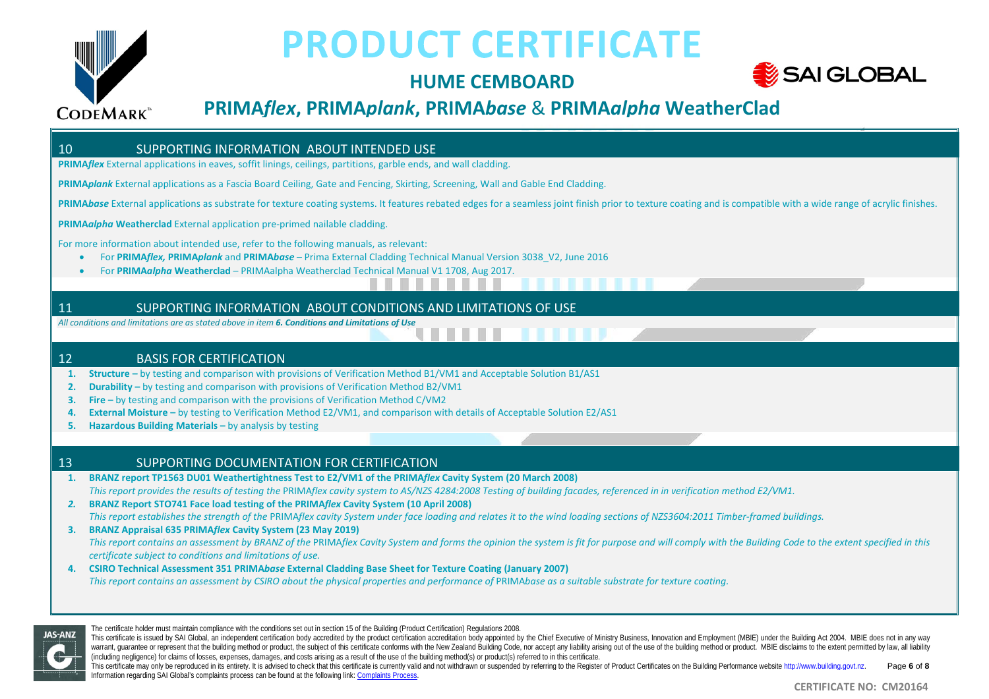

# **HUME CEMBOARD**



# **PRIMA***flex***, PRIMA***plank***, PRIMA***base* & **PRIMA***alpha* **WeatherClad**

### 10 SUPPORTING INFORMATION ABOUT INTENDED USE **PRIMA***flex* External applications in eaves, soffit linings, ceilings, partitions, garble ends, and wall cladding. **PRIMA***plank* External applications as a Fascia Board Ceiling, Gate and Fencing, Skirting, Screening, Wall and Gable End Cladding. PRIMA*base* External applications as substrate for texture coating systems. It features rebated edges for a seamless joint finish prior to texture coating and is compatible with a wide range of acrylic finishes. **PRIMA***alpha* **Weatherclad** External application pre-primed nailable cladding. For more information about intended use, refer to the following manuals, as relevant: • For **PRIMA***flex,* **PRIMA***plank* and **PRIMA***base* – Prima External Cladding Technical Manual Version 3038\_V2, June 2016 • For **PRIMA***alpha* **Weatherclad** – PRIMAalpha Weatherclad Technical Manual V1 1708, Aug 2017. 11 SUPPORTING INFORMATION ABOUT CONDITIONS AND LIMITATIONS OF USE *All conditions and limitations are as stated above in item 6. Conditions and Limitations of Use* 12 BASIS FOR CERTIFICATION **1. Structure –** by testing and comparison with provisions of Verification Method B1/VM1 and Acceptable Solution B1/AS1 **2. Durability –** by testing and comparison with provisions of Verification Method B2/VM1 **3. Fire –** by testing and comparison with the provisions of Verification Method C/VM2

- **4. External Moisture –** by testing to Verification Method E2/VM1, and comparison with details of Acceptable Solution E2/AS1
- **5. Hazardous Building Materials –** by analysis by testing

#### 13 SUPPORTING DOCUMENTATION FOR CERTIFICATION

- **1. BRANZ report TP1563 DU01 Weathertightness Test to E2/VM1 of the PRIMA***flex* **Cavity System (20 March 2008)** This report provides the results of testing the PRIMAflex cavity system to AS/NZS 4284:2008 Testing of building facades, referenced in in verification method E2/VM1.
- *2.* **BRANZ Report STO741 Face load testing of the PRIMA***flex* **Cavity System (10 April 2008)** *This report establishes the strength of the* PRIMA*flex cavity System under face loading and relates it to the wind loading sections of NZS3604:2011 Timber-framed buildings.*
- **3. BRANZ Appraisal 635 PRIMA***flex* **Cavity System (23 May 2019)** *This report contains an assessment by BRANZ of the* PRIMA*flex Cavity System and forms the opinion the system is fit for purpose and will comply with the Building Code to the extent specified in this certificate subject to conditions and limitations of use.*
- **4. CSIRO Technical Assessment 351 PRIMA***base* **External Cladding Base Sheet for Texture Coating (January 2007)** *This report contains an assessment by CSIRO about the physical properties and performance of PRIMAbase as a suitable substrate for texture coatina.*



The certificate holder must maintain compliance with the conditions set out in section 15 of the Building (Product Certification) Regulations 2008.

This certificate is issued by SAI Global, an independent certification body accredited by the product certification accreditation body appointed by the Chief Executive of Ministry Business, Innovation and Employment (MBIE) warrant, quarantee or represent that the building method or product, the subject of this certificate conforms with the New Zealand Building Code, nor accept any liability arising out of the use of the building method or pr (including negligence) for claims of losses, expenses, damages, and costs arising as a result of the use of the building method(s) or product(s) referred to in this certificate.

This certificate may only be reproduced in its entirety. It is advised to check that this certificate is currently valid and not withdrawn or suspended by referring to the Register of Product Certificates on the Building P Information regarding SAI Global's complaints process can be found at the following link[: Complaints Process.](https://www.saiglobal.com/en-au/complaints_and_appeals_management/) Page **6** of **8**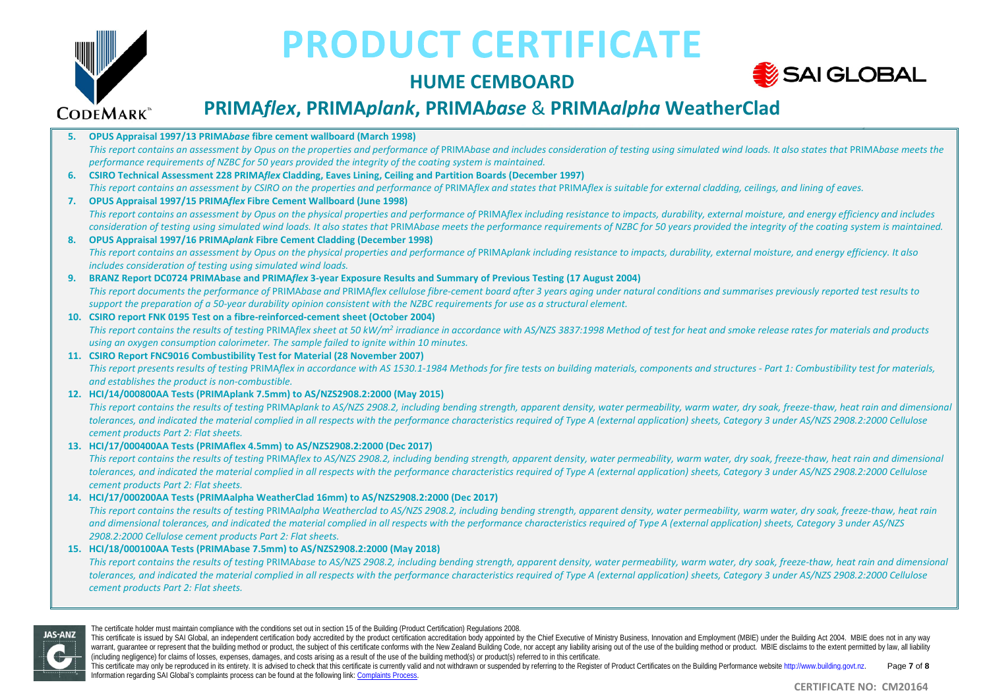

### **HUME CEMBOARD**



# **PRIMA***flex***, PRIMA***plank***, PRIMA***base* & **PRIMA***alpha* **WeatherClad**

|    | 5. OPUS Appraisal 1997/13 PRIMAbase fibre cement wallboard (March 1998)                                                                                                                                       |
|----|---------------------------------------------------------------------------------------------------------------------------------------------------------------------------------------------------------------|
|    | This report contains an assessment by Opus on the properties and performance of PRIMAbase and includes consideration of testing using simulated wind loads. It also states that PRIMAbase meets the           |
|    | performance requirements of NZBC for 50 years provided the integrity of the coating system is maintained.                                                                                                     |
| 6. | <b>CSIRO Technical Assessment 228 PRIMAflex Cladding, Eaves Lining, Ceiling and Partition Boards (December 1997)</b>                                                                                          |
|    | This report contains an assessment by CSIRO on the properties and performance of PRIMAflex and states that PRIMAflex is suitable for external cladding, ceilings, and lining of eaves.                        |
| 7. | <b>OPUS Appraisal 1997/15 PRIMAflex Fibre Cement Wallboard (June 1998)</b>                                                                                                                                    |
|    | This report contains an assessment by Opus on the physical properties and performance of PRIMAflex including resistance to impacts, durability, external moisture, and energy efficiency and includes         |
|    | consideration of testing using simulated wind loads. It also states that PRIMAbase meets the performance requirements of NZBC for 50 years provided the integrity of the coating system is maintained.        |
| 8. | <b>OPUS Appraisal 1997/16 PRIMAplank Fibre Cement Cladding (December 1998)</b>                                                                                                                                |
|    | This report contains an assessment by Opus on the physical properties and performance of PRIMAplank including resistance to impacts, durability, external moisture, and energy efficiency. It also            |
|    | includes consideration of testing using simulated wind loads.                                                                                                                                                 |
| 9. | BRANZ Report DC0724 PRIMAbase and PRIMAflex 3-year Exposure Results and Summary of Previous Testing (17 August 2004)                                                                                          |
|    | This report documents the performance of PRIMAbase and PRIMAflex cellulose fibre-cement board after 3 years aging under natural conditions and summarises previously reported test results to                 |
|    | support the preparation of a 50-year durability opinion consistent with the NZBC requirements for use as a structural element.                                                                                |
|    | 10. CSIRO report FNK 0195 Test on a fibre-reinforced-cement sheet (October 2004)                                                                                                                              |
|    | This report contains the results of testing PRIMAflex sheet at 50 kW/m <sup>2</sup> irradiance in accordance with AS/NZS 3837:1998 Method of test for heat and smoke release rates for materials and products |
|    | using an oxygen consumption calorimeter. The sample failed to ignite within 10 minutes.                                                                                                                       |
|    | 11. CSIRO Report FNC9016 Combustibility Test for Material (28 November 2007)                                                                                                                                  |
|    | This report presents results of testing PRIMAflex in accordance with AS 1530.1-1984 Methods for fire tests on building materials, components and structures - Part 1: Combustibility test for materials,      |
|    | and establishes the product is non-combustible.                                                                                                                                                               |
|    | 12. HCl/14/000800AA Tests (PRIMAplank 7.5mm) to AS/NZS2908.2:2000 (May 2015)                                                                                                                                  |
|    | This report contains the results of testing PRIMAplank to AS/NZS 2908.2, including bending strength, apparent density, water permeability, warm water, dry soak, freeze-thaw, heat rain and dimensional       |
|    | tolerances, and indicated the material complied in all respects with the performance characteristics required of Type A (external application) sheets, Category 3 under AS/NZS 2908.2:2000 Cellulose          |
|    | cement products Part 2: Flat sheets.                                                                                                                                                                          |
|    | 13. HCI/17/000400AA Tests (PRIMAflex 4.5mm) to AS/NZS2908.2:2000 (Dec 2017)                                                                                                                                   |
|    | This report contains the results of testing PRIMAflex to AS/NZS 2908.2, including bending strength, apparent density, water permeability, warm water, dry soak, freeze-thaw, heat rain and dimensional        |
|    | tolerances, and indicated the material complied in all respects with the performance characteristics required of Type A (external application) sheets, Category 3 under AS/NZS 2908.2:2000 Cellulose          |
|    | cement products Part 2: Flat sheets.                                                                                                                                                                          |
|    | 14. HCl/17/000200AA Tests (PRIMAalpha WeatherClad 16mm) to AS/NZS2908.2:2000 (Dec 2017)                                                                                                                       |
|    | This report contains the results of testing PRIMAalpha Weatherclad to AS/NZS 2908.2, including bending strength, apparent density, water permeability, warm water, dry soak, freeze-thaw, heat rain           |
|    | and dimensional tolerances, and indicated the material complied in all respects with the performance characteristics required of Type A (external application) sheets, Category 3 under AS/NZS                |
|    | 2908.2:2000 Cellulose cement products Part 2: Flat sheets.                                                                                                                                                    |
|    | 15. HCl/18/000100AA Tests (PRIMAbase 7.5mm) to AS/NZS2908.2:2000 (May 2018)                                                                                                                                   |
|    | This report contains the results of testing PRIMAbase to AS/NZS 2908.2, including bending strength, apparent density, water permeability, warm water, dry soak, freeze-thaw, heat rain and dimensional        |
|    | tolerances, and indicated the material complied in all respects with the performance characteristics required of Type A (external application) sheets, Category 3 under AS/NZS 2908.2:2000 Cellulose          |

*cement products Part 2: Flat sheets.*



The certificate holder must maintain compliance with the conditions set out in section 15 of the Building (Product Certification) Regulations 2008.

This certificate is issued by SAI Global, an independent certification body accredited by the product certification accreditation body appointed by the Chief Executive of Ministry Business, Innovation and Employment (MBIE) warrant, guarantee or represent that the building method or product, the subject of this certificate conforms with the New Zealand Building Code, nor accept any liability arising out of the use of the building method or pr (including negligence) for claims of losses, expenses, damages, and costs arising as a result of the use of the building method(s) or product(s) referred to in this certificate.

This certificate may only be reproduced in its entirety. It is advised to check that this certificate is currently valid and not withdrawn or suspended by referring to the Register of Product Certificates on the Building P Information regarding SAI Global's complaints process can be found at the following link[: Complaints Process.](https://www.saiglobal.com/en-au/complaints_and_appeals_management/) Page **7** of **8**